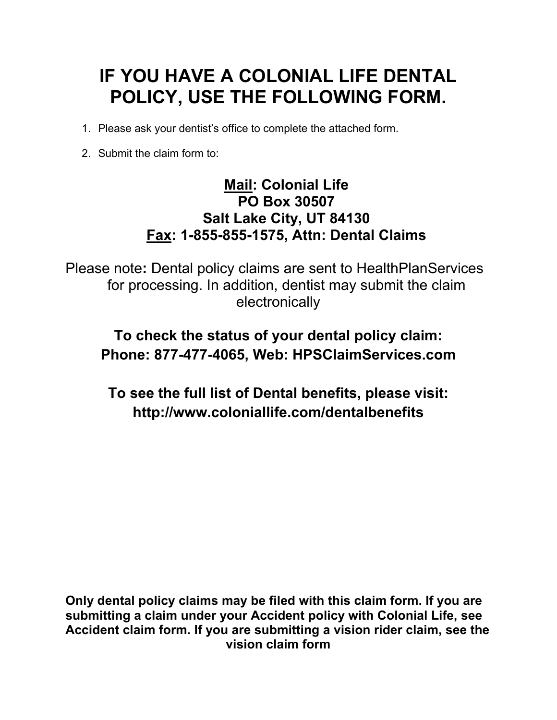## **IF YOU HAVE A COLONIAL LIFE DENTAL POLICY, USE THE FOLLOWING FORM.**

- 1. Please ask your dentist's office to complete the attached form.
- 2. Submit the claim form to:

## **Mail: Colonial Life PO Box 30507 Salt Lake City, UT 84130 Fax: 1-855-855-1575, Attn: Dental Claims**

Please note**:** Dental policy claims are sent to HealthPlanServices for processing. In addition, dentist may submit the claim electronically

## **To check the status of your dental policy claim: Phone: 877-477-4065, Web: HPSClaimServices.com**

**To see the full list of Dental benefits, please visit: http://www.coloniallife.com/dentalbenefits** 

**Only dental policy claims may be filed with this claim form. If you are submitting a claim under your Accident policy with Colonial Life, see Accident claim form. If you are submitting a vision rider claim, see the vision claim form**